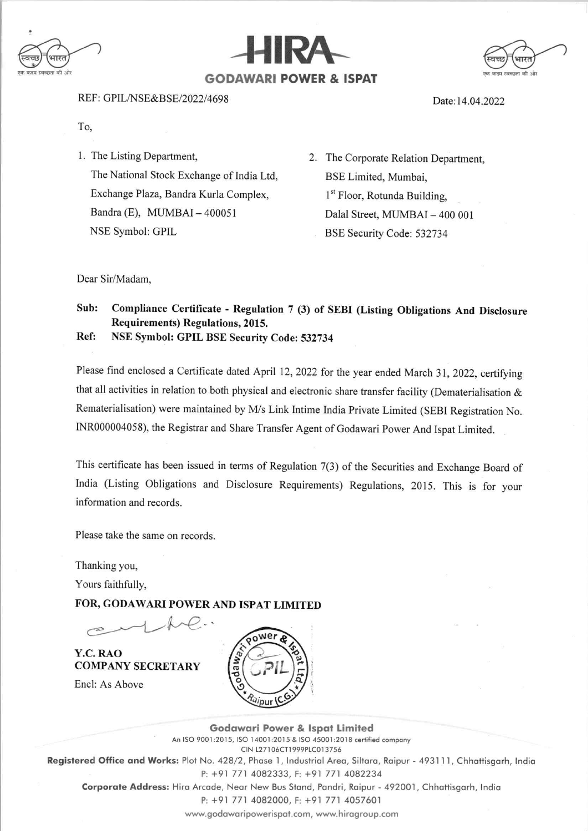





REF: GPIL/NSE&BSE/2022/4698

Date:14.04.2022

To,

- 1. The Listing Department, The National Stock Exchange of India Ltd, Exchange Plaza, Bandra Kurla Complex, Bandra (E), MUMBAI  $-400051$ NSE Symbol: GPIL
- 2. The corporate Relation Department, BSE Limited, Mumbai, 1<sup>st</sup> Floor, Rotunda Building, Dalal Street, MUMBAI - 400 001 BSE Security Code: 532734

Dear Sir/Madam,

## Sub: Compliance Certificate - Regulation 7 (3) of SEBI (Listing Obligations And Disclosure Requirements) Regulations, 2015.

Ref: NSE symbol: GPIL BSE security code: 532734

Please find enclosed a Certificate dated April 12, 2022 for the year ended March 31, 2022, certifying that all activities in relation to both physical and electronic share transfer facility (Dematerialisation & Rematerialisation) were maintained by M/s Link Intime India Private Limited (SEBI Registration No. INR000004058), the Registrar and Share Transfer Agent of Godawari Power And Ispat Limited.

This certificate has been issued in terns of Regulation 7(3) of the Securities and Exchange Board of India (Listing Obligations and Disclosure Requirements) Regulations, 2015. This is for your information and records.

Please take the same on records.

Thanking you,

Yours faithfully,

FOR, GODAWARI POWER AND ISPAT LIMITED

Y.C. RAO COMPANY SECRETARY Encl: As Above



Godawari Power & Ispat Limited An ISO 9001:2015, ISO 14001:2015 & ISO 45001:2018 certified company CIN L27106CT19?9PLC013756 Registered Office and Works: Plot No. 428/2, Phase 1, Industrial Area, Siltara, Raipur - 493111, Chhattisgarh, India P: +91 771 4082333, F: +91 771 4082234 Corporate Address: Hira Arcade, Near New Bus Stand, Pandri, Raipur - 492001, Chhattisgarh, India P: +91 771 4082000, F: +91 771 4057601 www.godawaripowerispat.com, www.hiragroup.com